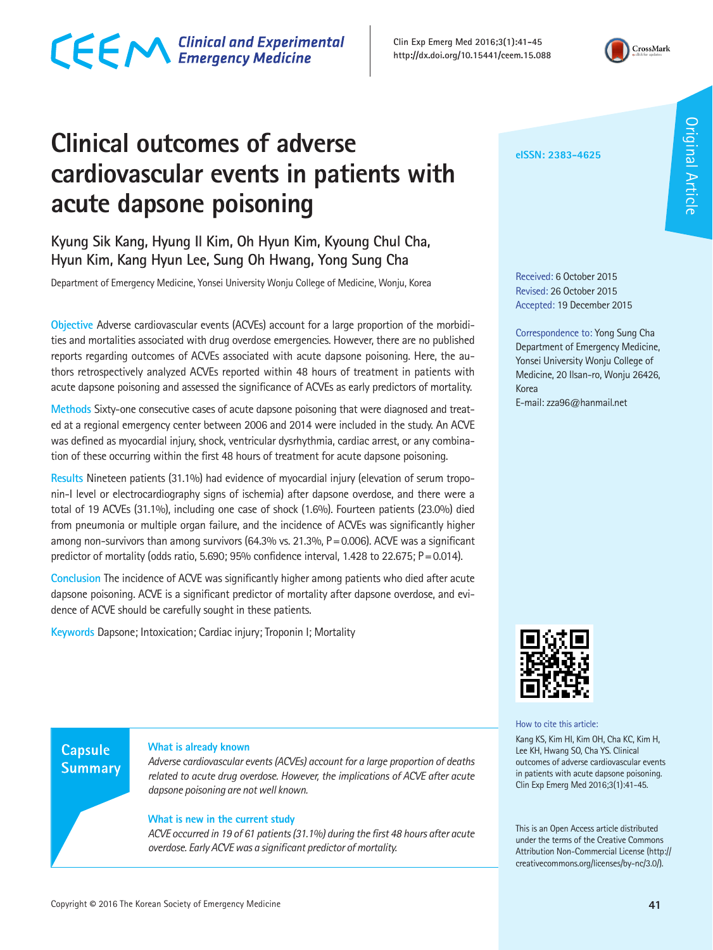### CECM Clinical and Experimental

**Clin Exp Emerg Med 2016;3(1):41-45 http://dx.doi.org/10.15441/ceem.15.088**



### **Clinical outcomes of adverse cardiovascular events in patients with acute dapsone poisoning**

**Kyung Sik Kang, Hyung Il Kim, Oh Hyun Kim, Kyoung Chul Cha, Hyun Kim, Kang Hyun Lee, Sung Oh Hwang, Yong Sung Cha**

Department of Emergency Medicine, Yonsei University Wonju College of Medicine, Wonju, Korea

**Objective** Adverse cardiovascular events (ACVEs) account for a large proportion of the morbidities and mortalities associated with drug overdose emergencies. However, there are no published reports regarding outcomes of ACVEs associated with acute dapsone poisoning. Here, the authors retrospectively analyzed ACVEs reported within 48 hours of treatment in patients with acute dapsone poisoning and assessed the significance of ACVEs as early predictors of mortality.

**Methods** Sixty-one consecutive cases of acute dapsone poisoning that were diagnosed and treated at a regional emergency center between 2006 and 2014 were included in the study. An ACVE was defined as myocardial injury, shock, ventricular dysrhythmia, cardiac arrest, or any combination of these occurring within the first 48 hours of treatment for acute dapsone poisoning.

**Results** Nineteen patients (31.1%) had evidence of myocardial injury (elevation of serum troponin-I level or electrocardiography signs of ischemia) after dapsone overdose, and there were a total of 19 ACVEs (31.1%), including one case of shock (1.6%). Fourteen patients (23.0%) died from pneumonia or multiple organ failure, and the incidence of ACVEs was significantly higher among non-survivors than among survivors (64.3% vs. 21.3%, P=0.006). ACVE was a significant predictor of mortality (odds ratio, 5.690; 95% confidence interval, 1.428 to 22.675;  $P = 0.014$ ).

**Conclusion** The incidence of ACVE was significantly higher among patients who died after acute dapsone poisoning. ACVE is a significant predictor of mortality after dapsone overdose, and evidence of ACVE should be carefully sought in these patients.

**Keywords** Dapsone; Intoxication; Cardiac injury; Troponin I; Mortality

#### **Capsule Summary**

#### **What is already known**

*Adverse cardiovascular events (ACVEs) account for a large proportion of deaths related to acute drug overdose. However, the implications of ACVE after acute dapsone poisoning are not well known.*

#### **What is new in the current study**

*ACVE occurred in 19 of 61 patients (31.1%) during the first 48 hours after acute overdose. Early ACVE was a significant predictor of mortality.*

#### **eISSN: 2383-4625**

Received: 6 October 2015 Revised: 26 October 2015 Accepted: 19 December 2015

Correspondence to: Yong Sung Cha Department of Emergency Medicine, Yonsei University Wonju College of Medicine, 20 Ilsan-ro, Wonju 26426, Korea

E-mail: zza96@hanmail.net



How to cite this article:

Kang KS, Kim HI, Kim OH, Cha KC, Kim H, Lee KH, Hwang SO, Cha YS. Clinical outcomes of adverse cardiovascular events in patients with acute dapsone poisoning. Clin Exp Emerg Med 2016;3(1):41-45.

This is an Open Access article distributed under the terms of the Creative Commons Attribution Non-Commercial License (http:// creativecommons.org/licenses/by-nc/3.0/).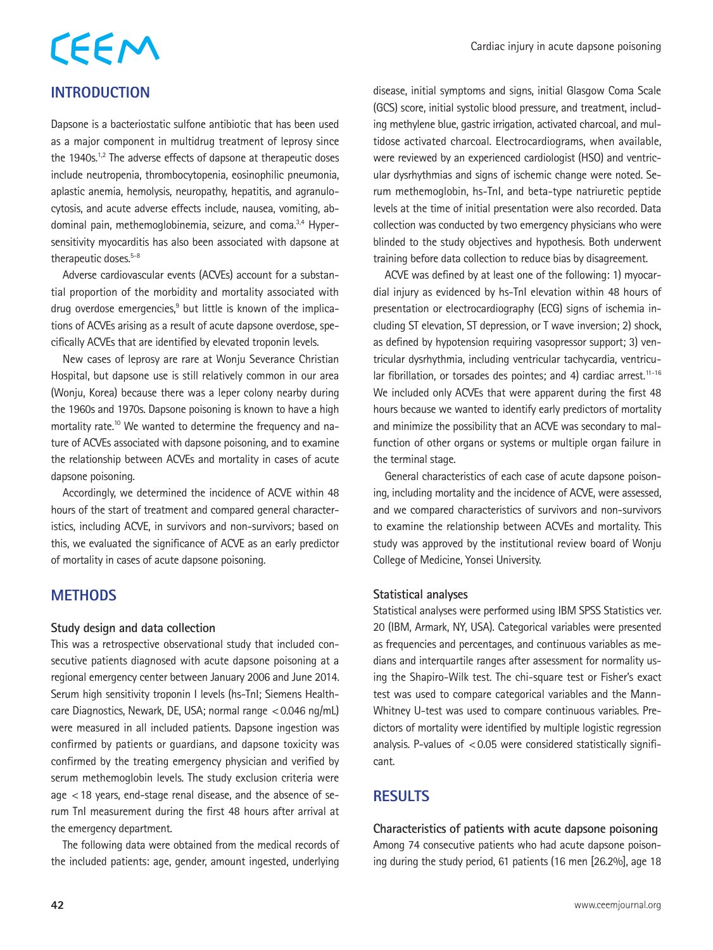# CEEM

#### **INTRODUCTION**

Dapsone is a bacteriostatic sulfone antibiotic that has been used as a major component in multidrug treatment of leprosy since the 1940s.<sup>1,2</sup> The adverse effects of dapsone at therapeutic doses include neutropenia, thrombocytopenia, eosinophilic pneumonia, aplastic anemia, hemolysis, neuropathy, hepatitis, and agranulocytosis, and acute adverse effects include, nausea, vomiting, abdominal pain, methemoglobinemia, seizure, and coma.3,4 Hypersensitivity myocarditis has also been associated with dapsone at therapeutic doses.<sup>5-8</sup>

Adverse cardiovascular events (ACVEs) account for a substantial proportion of the morbidity and mortality associated with drug overdose emergencies,<sup>9</sup> but little is known of the implications of ACVEs arising as a result of acute dapsone overdose, specifically ACVEs that are identified by elevated troponin levels.

New cases of leprosy are rare at Wonju Severance Christian Hospital, but dapsone use is still relatively common in our area (Wonju, Korea) because there was a leper colony nearby during the 1960s and 1970s. Dapsone poisoning is known to have a high mortality rate.<sup>10</sup> We wanted to determine the frequency and nature of ACVEs associated with dapsone poisoning, and to examine the relationship between ACVEs and mortality in cases of acute dapsone poisoning.

Accordingly, we determined the incidence of ACVE within 48 hours of the start of treatment and compared general characteristics, including ACVE, in survivors and non-survivors; based on this, we evaluated the significance of ACVE as an early predictor of mortality in cases of acute dapsone poisoning.

#### **METHODS**

#### **Study design and data collection**

This was a retrospective observational study that included consecutive patients diagnosed with acute dapsone poisoning at a regional emergency center between January 2006 and June 2014. Serum high sensitivity troponin I levels (hs-TnI; Siemens Healthcare Diagnostics, Newark, DE, USA; normal range <0.046 ng/mL) were measured in all included patients. Dapsone ingestion was confirmed by patients or guardians, and dapsone toxicity was confirmed by the treating emergency physician and verified by serum methemoglobin levels. The study exclusion criteria were age <18 years, end-stage renal disease, and the absence of serum TnI measurement during the first 48 hours after arrival at the emergency department.

The following data were obtained from the medical records of the included patients: age, gender, amount ingested, underlying

disease, initial symptoms and signs, initial Glasgow Coma Scale (GCS) score, initial systolic blood pressure, and treatment, including methylene blue, gastric irrigation, activated charcoal, and multidose activated charcoal. Electrocardiograms, when available, were reviewed by an experienced cardiologist (HSO) and ventricular dysrhythmias and signs of ischemic change were noted. Serum methemoglobin, hs-TnI, and beta-type natriuretic peptide levels at the time of initial presentation were also recorded. Data collection was conducted by two emergency physicians who were blinded to the study objectives and hypothesis. Both underwent training before data collection to reduce bias by disagreement.

ACVE was defined by at least one of the following: 1) myocardial injury as evidenced by hs-TnI elevation within 48 hours of presentation or electrocardiography (ECG) signs of ischemia including ST elevation, ST depression, or T wave inversion; 2) shock, as defined by hypotension requiring vasopressor support; 3) ventricular dysrhythmia, including ventricular tachycardia, ventricular fibrillation, or torsades des pointes; and 4) cardiac arrest.<sup>11-16</sup> We included only ACVEs that were apparent during the first 48 hours because we wanted to identify early predictors of mortality and minimize the possibility that an ACVE was secondary to malfunction of other organs or systems or multiple organ failure in the terminal stage.

General characteristics of each case of acute dapsone poisoning, including mortality and the incidence of ACVE, were assessed, and we compared characteristics of survivors and non-survivors to examine the relationship between ACVEs and mortality. This study was approved by the institutional review board of Wonju College of Medicine, Yonsei University.

#### **Statistical analyses**

Statistical analyses were performed using IBM SPSS Statistics ver. 20 (IBM, Armark, NY, USA). Categorical variables were presented as frequencies and percentages, and continuous variables as medians and interquartile ranges after assessment for normality using the Shapiro-Wilk test. The chi-square test or Fisher's exact test was used to compare categorical variables and the Mann-Whitney U-test was used to compare continuous variables. Predictors of mortality were identified by multiple logistic regression analysis. P-values of  $< 0.05$  were considered statistically significant.

#### **RESULTS**

**Characteristics of patients with acute dapsone poisoning** Among 74 consecutive patients who had acute dapsone poisoning during the study period, 61 patients (16 men [26.2%], age 18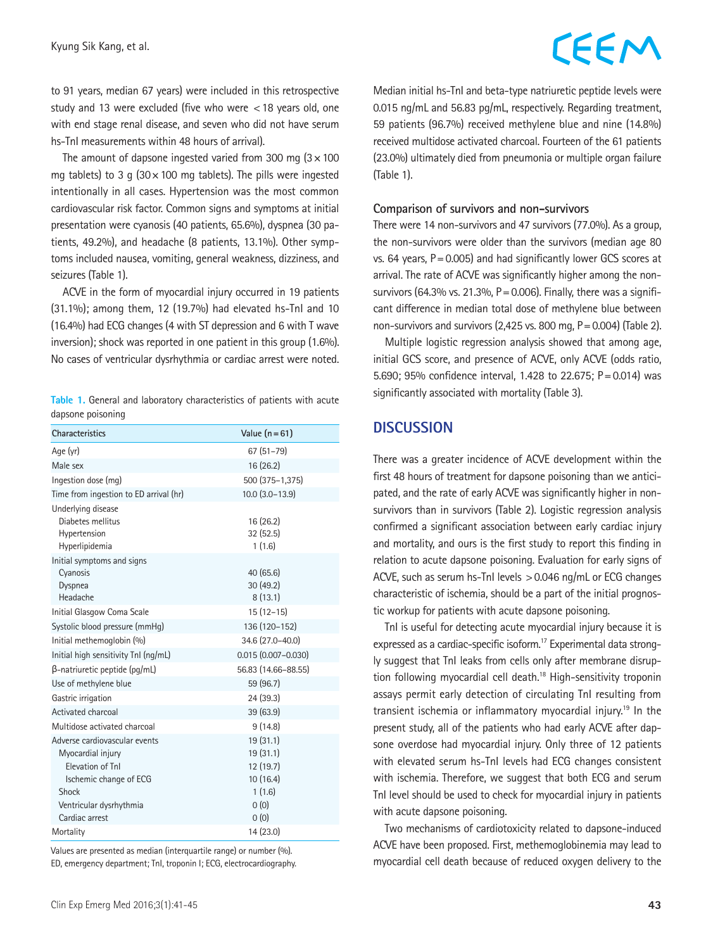#### to 91 years, median 67 years) were included in this retrospective study and 13 were excluded (five who were <18 years old, one with end stage renal disease, and seven who did not have serum hs-TnI measurements within 48 hours of arrival).

The amount of dapsone ingested varied from 300 mg  $(3 \times 100)$ mg tablets) to 3 g ( $30 \times 100$  mg tablets). The pills were ingested intentionally in all cases. Hypertension was the most common cardiovascular risk factor. Common signs and symptoms at initial presentation were cyanosis (40 patients, 65.6%), dyspnea (30 patients, 49.2%), and headache (8 patients, 13.1%). Other symptoms included nausea, vomiting, general weakness, dizziness, and seizures (Table 1).

ACVE in the form of myocardial injury occurred in 19 patients (31.1%); among them, 12 (19.7%) had elevated hs-TnI and 10 (16.4%) had ECG changes (4 with ST depression and 6 with T wave inversion); shock was reported in one patient in this group (1.6%). No cases of ventricular dysrhythmia or cardiac arrest were noted.

|  |                   |  | Table 1. General and laboratory characteristics of patients with acute |  |  |
|--|-------------------|--|------------------------------------------------------------------------|--|--|
|  | dapsone poisoning |  |                                                                        |  |  |

| <b>Characteristics</b>                                                    | Value $(n=61)$                   |
|---------------------------------------------------------------------------|----------------------------------|
| Age (yr)                                                                  | $67(51 - 79)$                    |
| Male sex                                                                  | 16 (26.2)                        |
| Ingestion dose (mg)                                                       | 500 (375-1,375)                  |
| Time from ingestion to ED arrival (hr)                                    | $10.0$ $(3.0-13.9)$              |
| Underlying disease<br>Diabetes mellitus<br>Hypertension<br>Hyperlipidemia | 16 (26.2)<br>32(52.5)<br>1(1.6)  |
| Initial symptoms and signs<br>Cyanosis<br>Dyspnea<br>Headache             | 40 (65.6)<br>30(49.2)<br>8(13.1) |
| Initial Glasgow Coma Scale                                                | $15(12-15)$                      |
| Systolic blood pressure (mmHq)                                            | 136 (120-152)                    |
| Initial methemoglobin (%)                                                 | 34.6 (27.0-40.0)                 |
| Initial high sensitivity TnI (ng/mL)                                      | $0.015(0.007 - 0.030)$           |
| β-natriuretic peptide (pg/mL)                                             | 56.83 (14.66-88.55)              |
| Use of methylene blue                                                     | 59 (96.7)                        |
| Gastric irrigation                                                        | 24 (39.3)                        |
| Activated charcoal                                                        | 39 (63.9)                        |
| Multidose activated charcoal                                              | 9(14.8)                          |
| Adverse cardiovascular events                                             | 19 (31.1)                        |
| Myocardial injury                                                         | 19 (31.1)                        |
| Flevation of Tnl                                                          | 12 (19.7)                        |
| Ischemic change of ECG                                                    | 10(16.4)                         |
| Shock                                                                     | 1(1.6)                           |
| Ventricular dysrhythmia<br>Cardiac arrest                                 | 0(0)                             |
|                                                                           | 0(0)<br>14 (23.0)                |
| Mortality                                                                 |                                  |

Values are presented as median (interquartile range) or number (%). ED, emergency department; TnI, troponin I; ECG, electrocardiography.

### CEEM

Median initial hs-TnI and beta-type natriuretic peptide levels were 0.015 ng/mL and 56.83 pg/mL, respectively. Regarding treatment, 59 patients (96.7%) received methylene blue and nine (14.8%) received multidose activated charcoal. Fourteen of the 61 patients (23.0%) ultimately died from pneumonia or multiple organ failure (Table 1).

#### **Comparison of survivors and non-survivors**

There were 14 non-survivors and 47 survivors (77.0%). As a group, the non-survivors were older than the survivors (median age 80 vs. 64 years, P=0.005) and had significantly lower GCS scores at arrival. The rate of ACVE was significantly higher among the nonsurvivors (64.3% vs. 21.3%,  $P = 0.006$ ). Finally, there was a significant difference in median total dose of methylene blue between non-survivors and survivors (2,425 vs. 800 mg,  $P = 0.004$ ) (Table 2).

Multiple logistic regression analysis showed that among age, initial GCS score, and presence of ACVE, only ACVE (odds ratio, 5.690; 95% confidence interval, 1.428 to 22.675; P=0.014) was significantly associated with mortality (Table 3).

#### **DISCUSSION**

There was a greater incidence of ACVE development within the first 48 hours of treatment for dapsone poisoning than we anticipated, and the rate of early ACVE was significantly higher in nonsurvivors than in survivors (Table 2). Logistic regression analysis confirmed a significant association between early cardiac injury and mortality, and ours is the first study to report this finding in relation to acute dapsone poisoning. Evaluation for early signs of ACVE, such as serum hs-TnI levels  $> 0.046$  ng/mL or ECG changes characteristic of ischemia, should be a part of the initial prognostic workup for patients with acute dapsone poisoning.

TnI is useful for detecting acute myocardial injury because it is expressed as a cardiac-specific isoform.<sup>17</sup> Experimental data strongly suggest that TnI leaks from cells only after membrane disruption following myocardial cell death.<sup>18</sup> High-sensitivity troponin assays permit early detection of circulating TnI resulting from transient ischemia or inflammatory myocardial injury.19 In the present study, all of the patients who had early ACVE after dapsone overdose had myocardial injury. Only three of 12 patients with elevated serum hs-TnI levels had ECG changes consistent with ischemia. Therefore, we suggest that both ECG and serum TnI level should be used to check for myocardial injury in patients with acute dapsone poisoning.

Two mechanisms of cardiotoxicity related to dapsone-induced ACVE have been proposed. First, methemoglobinemia may lead to myocardial cell death because of reduced oxygen delivery to the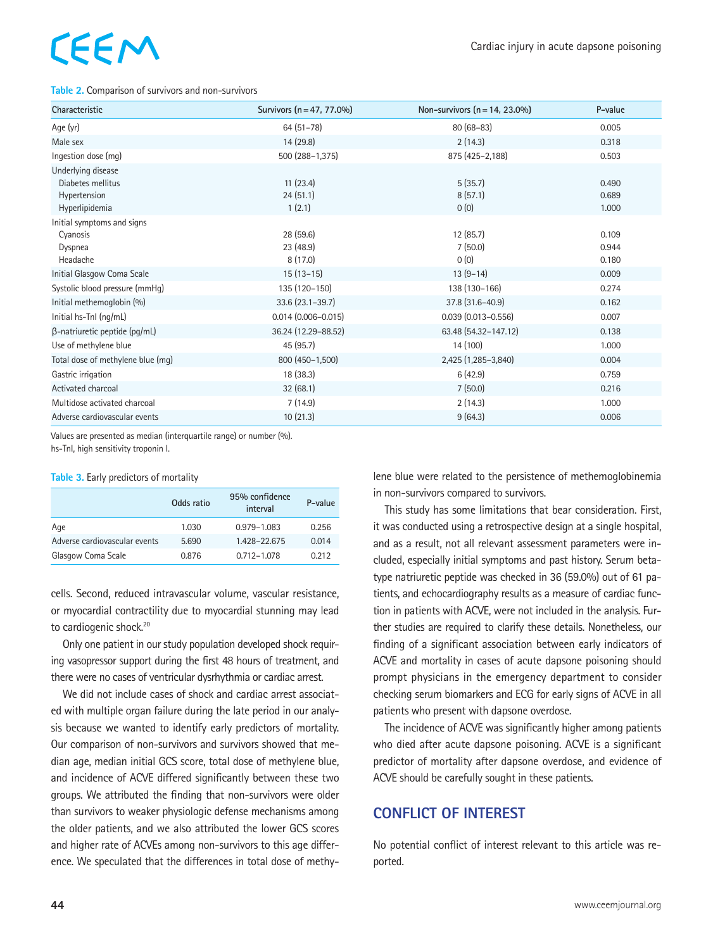## EEM

#### **Table 2.** Comparison of survivors and non-survivors

| Characteristic                                                            | Survivors (n = 47, 77.0%)         | Non-survivors $(n = 14, 23.0\%)$ | P-value                 |
|---------------------------------------------------------------------------|-----------------------------------|----------------------------------|-------------------------|
| Age (yr)                                                                  | $64(51-78)$                       | $80(68-83)$                      | 0.005                   |
| Male sex                                                                  | 14 (29.8)                         | 2(14.3)                          | 0.318                   |
| Ingestion dose (mg)                                                       | 500 (288-1,375)                   | 875 (425-2,188)                  | 0.503                   |
| Underlying disease<br>Diabetes mellitus<br>Hypertension<br>Hyperlipidemia | 11(23.4)<br>24(51.1)<br>1(2.1)    | 5(35.7)<br>8(57.1)<br>0(0)       | 0.490<br>0.689<br>1.000 |
| Initial symptoms and signs<br>Cyanosis<br>Dyspnea<br>Headache             | 28 (59.6)<br>23 (48.9)<br>8(17.0) | 12(85.7)<br>7(50.0)<br>0(0)      | 0.109<br>0.944<br>0.180 |
| Initial Glasgow Coma Scale                                                | $15(13-15)$                       | $13(9-14)$                       | 0.009                   |
| Systolic blood pressure (mmHq)                                            | 135 (120-150)                     | 138 (130-166)                    | 0.274                   |
| Initial methemoglobin (%)                                                 | 33.6 (23.1-39.7)                  | 37.8 (31.6-40.9)                 | 0.162                   |
| Initial hs-Tnl (ng/mL)                                                    | $0.014(0.006 - 0.015)$            | $0.039(0.013 - 0.556)$           | 0.007                   |
| $\beta$ -natriuretic peptide (pg/mL)                                      | 36.24 (12.29-88.52)               | 63.48 (54.32-147.12)             | 0.138                   |
| Use of methylene blue                                                     | 45 (95.7)                         | 14 (100)                         | 1.000                   |
| Total dose of methylene blue (mq)                                         | 800 (450-1,500)                   | 2,425 (1,285-3,840)              | 0.004                   |
| Gastric irrigation                                                        | 18 (38.3)                         | 6(42.9)                          | 0.759                   |
| Activated charcoal                                                        | 32(68.1)                          | 7(50.0)                          | 0.216                   |
| Multidose activated charcoal                                              | 7(14.9)                           | 2(14.3)                          | 1.000                   |
| Adverse cardiovascular events                                             | 10(21.3)                          | 9(64.3)                          | 0.006                   |

Values are presented as median (interquartile range) or number (%).

hs-TnI, high sensitivity troponin I.

#### **Table 3.** Early predictors of mortality

|                               | Odds ratio | 95% confidence<br>interval | P-value |
|-------------------------------|------------|----------------------------|---------|
| Age                           | 1.030      | 0.979-1.083                | 0.256   |
| Adverse cardiovascular events | 5.690      | 1.428-22.675               | 0.014   |
| Glasgow Coma Scale            | 0.876      | 0.712-1.078                | 0.212   |
|                               |            |                            |         |

cells. Second, reduced intravascular volume, vascular resistance, or myocardial contractility due to myocardial stunning may lead to cardiogenic shock.<sup>20</sup>

Only one patient in our study population developed shock requiring vasopressor support during the first 48 hours of treatment, and there were no cases of ventricular dysrhythmia or cardiac arrest.

We did not include cases of shock and cardiac arrest associated with multiple organ failure during the late period in our analysis because we wanted to identify early predictors of mortality. Our comparison of non-survivors and survivors showed that median age, median initial GCS score, total dose of methylene blue, and incidence of ACVE differed significantly between these two groups. We attributed the finding that non-survivors were older than survivors to weaker physiologic defense mechanisms among the older patients, and we also attributed the lower GCS scores and higher rate of ACVEs among non-survivors to this age difference. We speculated that the differences in total dose of methylene blue were related to the persistence of methemoglobinemia in non-survivors compared to survivors.

This study has some limitations that bear consideration. First, it was conducted using a retrospective design at a single hospital, and as a result, not all relevant assessment parameters were included, especially initial symptoms and past history. Serum betatype natriuretic peptide was checked in 36 (59.0%) out of 61 patients, and echocardiography results as a measure of cardiac function in patients with ACVE, were not included in the analysis. Further studies are required to clarify these details. Nonetheless, our finding of a significant association between early indicators of ACVE and mortality in cases of acute dapsone poisoning should prompt physicians in the emergency department to consider checking serum biomarkers and ECG for early signs of ACVE in all patients who present with dapsone overdose.

The incidence of ACVE was significantly higher among patients who died after acute dapsone poisoning. ACVE is a significant predictor of mortality after dapsone overdose, and evidence of ACVE should be carefully sought in these patients.

#### **CONFLICT OF INTEREST**

No potential conflict of interest relevant to this article was reported.